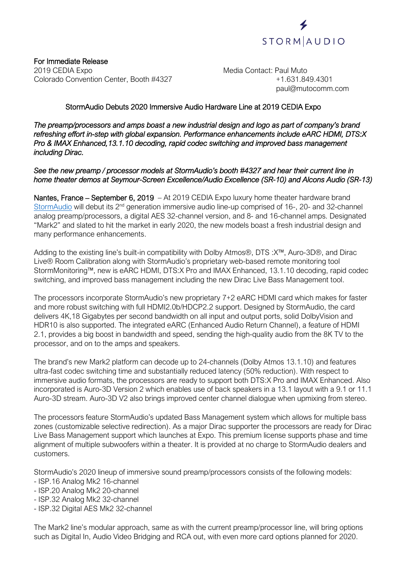

For Immediate Release 2019 CEDIA Expo **Media Contact: Paul Muto**<br>Colorado Convention Center, Booth #4327 **Media Contact: Paul Muto** +1.631.849.4301 Colorado Convention Center, Booth #4327

paul@mutocomm.com

## StormAudio Debuts 2020 Immersive Audio Hardware Line at 2019 CEDIA Expo

*The preamp/processors and amps boast a new industrial design and logo as part of company's brand refreshing effort in-step with global expansion. Performance enhancements include eARC HDMI, DTS:X Pro & IMAX Enhanced,13.1.10 decoding, rapid codec switching and improved bass management including Dirac.*

#### *See the new preamp / processor models at StormAudio's booth #4327 and hear their current line in home theater demos at Seymour-Screen Excellence/Audio Excellence (SR-10) and Alcons Audio (SR-13)*

Nantes, France – September 6, 2019 – At 2019 CEDIA Expo luxury home theater hardware brand [StormAudio](http://www.stormaudio.com/) will debut its 2<sup>nd</sup> generation immersive audio line-up comprised of 16-, 20- and 32-channel analog preamp/processors, a digital AES 32-channel version, and 8- and 16-channel amps. Designated "Mark2" and slated to hit the market in early 2020, the new models boast a fresh industrial design and many performance enhancements.

Adding to the existing line's built-in compatibility with Dolby Atmos®, DTS :X™, Auro-3D®, and Dirac Live® Room Calibration along with StormAudio's proprietary web-based remote monitoring tool StormMonitoring™, new is eARC HDMI, DTS:X Pro and IMAX Enhanced, 13.1.10 decoding, rapid codec switching, and improved bass management including the new Dirac Live Bass Management tool.

The processors incorporate StormAudio's new proprietary 7+2 eARC HDMI card which makes for faster and more robust switching with full HDMI2.0b/HDCP2.2 support. Designed by StormAudio, the card delivers 4K,18 Gigabytes per second bandwidth on all input and output ports, solid DolbyVision and HDR10 is also supported. The integrated eARC (Enhanced Audio Return Channel), a feature of HDMI 2.1, provides a big boost in bandwidth and speed, sending the high-quality audio from the 8K TV to the processor, and on to the amps and speakers.

The brand's new Mark2 platform can decode up to 24-channels (Dolby Atmos 13.1.10) and features ultra-fast codec switching time and substantially reduced latency (50% reduction). With respect to immersive audio formats, the processors are ready to support both DTS:X Pro and IMAX Enhanced. Also incorporated is Auro-3D Version 2 which enables use of back speakers in a 13.1 layout with a 9.1 or 11.1 Auro-3D stream. Auro-3D V2 also brings improved center channel dialogue when upmixing from stereo.

The processors feature StormAudio's updated Bass Management system which allows for multiple bass zones (customizable selective redirection). As a major Dirac supporter the processors are ready for Dirac Live Bass Management support which launches at Expo. This premium license supports phase and time alignment of multiple subwoofers within a theater. It is provided at no charge to StormAudio dealers and customers.

StormAudio's 2020 lineup of immersive sound preamp/processors consists of the following models:

- ISP.16 Analog Mk2 16-channel
- ISP.20 Analog Mk2 20-channel
- ISP.32 Analog Mk2 32-channel
- ISP.32 Digital AES Mk2 32-channel

The Mark2 line's modular approach, same as with the current preamp/processor line, will bring options such as Digital In, Audio Video Bridging and RCA out, with even more card options planned for 2020.